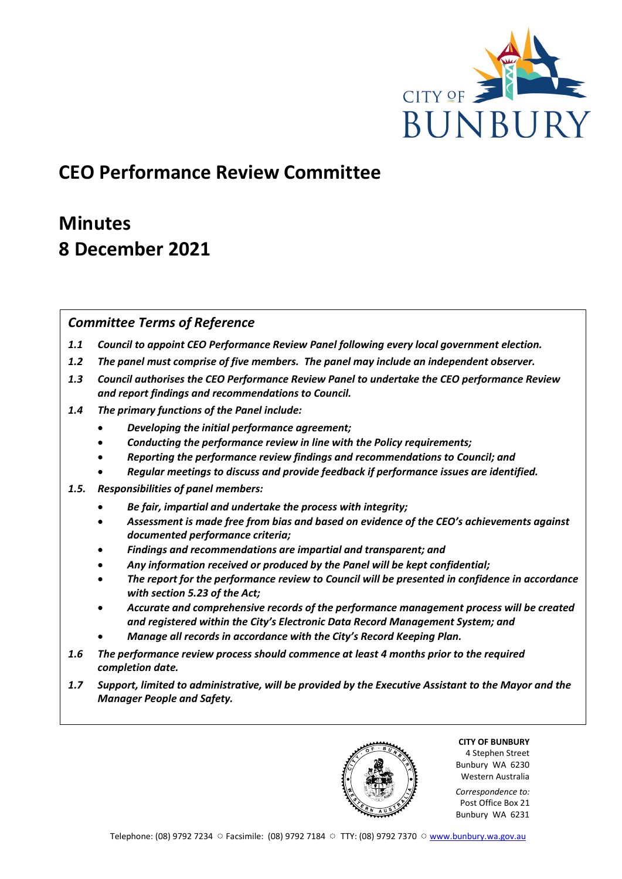

## **CEO Performance Review Committee**

# **Minutes 8 December 2021**

## *Committee Terms of Reference*

- *1.1 Council to appoint CEO Performance Review Panel following every local government election.*
- *1.2 The panel must comprise of five members. The panel may include an independent observer.*
- *1.3 Council authorises the CEO Performance Review Panel to undertake the CEO performance Review and report findings and recommendations to Council.*
- *1.4 The primary functions of the Panel include:*
	- *Developing the initial performance agreement;*
	- *Conducting the performance review in line with the Policy requirements;*
	- *Reporting the performance review findings and recommendations to Council; and*
	- *Regular meetings to discuss and provide feedback if performance issues are identified.*
- *1.5. Responsibilities of panel members:*
	- *Be fair, impartial and undertake the process with integrity;*
	- *Assessment is made free from bias and based on evidence of the CEO's achievements against documented performance criteria;*
	- *Findings and recommendations are impartial and transparent; and*
	- *Any information received or produced by the Panel will be kept confidential;*
	- *The report for the performance review to Council will be presented in confidence in accordance with section 5.23 of the Act;*
	- *Accurate and comprehensive records of the performance management process will be created and registered within the City's Electronic Data Record Management System; and*
	- *Manage all records in accordance with the City's Record Keeping Plan.*
- *1.6 The performance review process should commence at least 4 months prior to the required completion date.*
- *1.7 Support, limited to administrative, will be provided by the Executive Assistant to the Mayor and the Manager People and Safety.*

**CITY OF BUNBURY** 4 Stephen Street Bunbury WA 6230 Western Australia

*Correspondence to:* Post Office Box 21 Bunbury WA 6231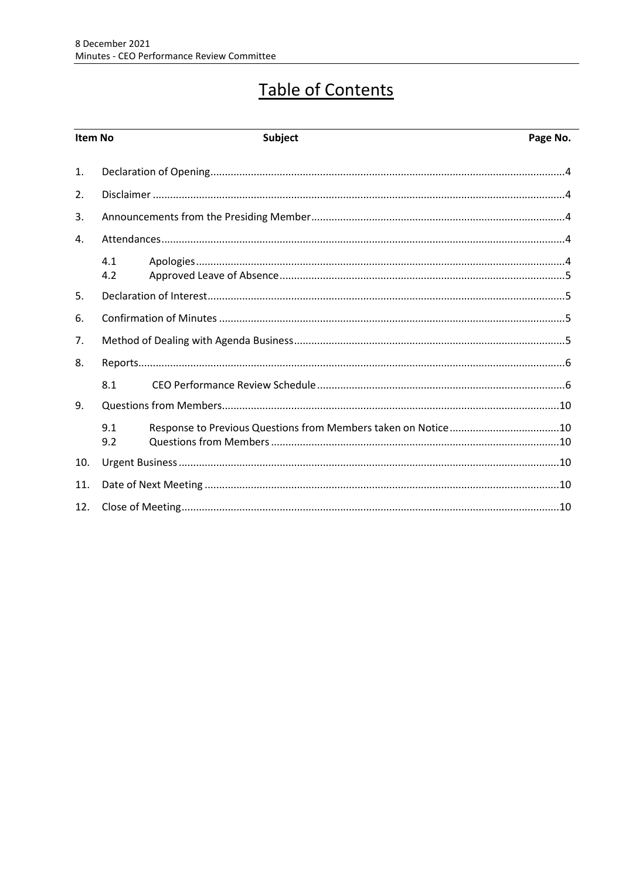# Table of Contents

| Item No |            | Subject | Page No. |
|---------|------------|---------|----------|
| 1.      |            |         |          |
| 2.      |            |         |          |
| 3.      |            |         |          |
| 4.      |            |         |          |
|         | 4.1<br>4.2 |         |          |
| 5.      |            |         |          |
| 6.      |            |         |          |
| 7.      |            |         |          |
| 8.      |            |         |          |
|         | 8.1        |         |          |
| 9.      |            |         |          |
|         | 9.1<br>9.2 |         |          |
| 10.     |            |         |          |
| 11.     |            |         |          |
| 12.     |            |         |          |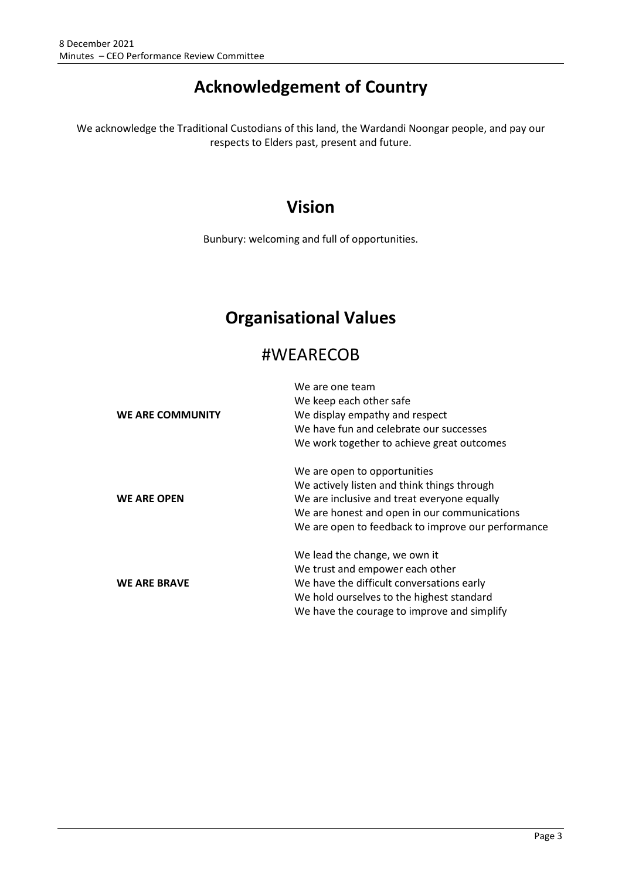## **Acknowledgement of Country**

We acknowledge the Traditional Custodians of this land, the Wardandi Noongar people, and pay our respects to Elders past, present and future.

## **Vision**

Bunbury: welcoming and full of opportunities.

## **Organisational Values**

## #WEARECOB

|                     | We are one team                                    |  |
|---------------------|----------------------------------------------------|--|
|                     | We keep each other safe                            |  |
| WE ARE COMMUNITY    | We display empathy and respect                     |  |
|                     | We have fun and celebrate our successes            |  |
|                     | We work together to achieve great outcomes         |  |
|                     | We are open to opportunities                       |  |
|                     | We actively listen and think things through        |  |
| <b>WE ARE OPEN</b>  | We are inclusive and treat everyone equally        |  |
|                     | We are honest and open in our communications       |  |
|                     | We are open to feedback to improve our performance |  |
|                     | We lead the change, we own it                      |  |
|                     | We trust and empower each other                    |  |
| <b>WE ARE BRAVE</b> | We have the difficult conversations early          |  |
|                     | We hold ourselves to the highest standard          |  |
|                     | We have the courage to improve and simplify        |  |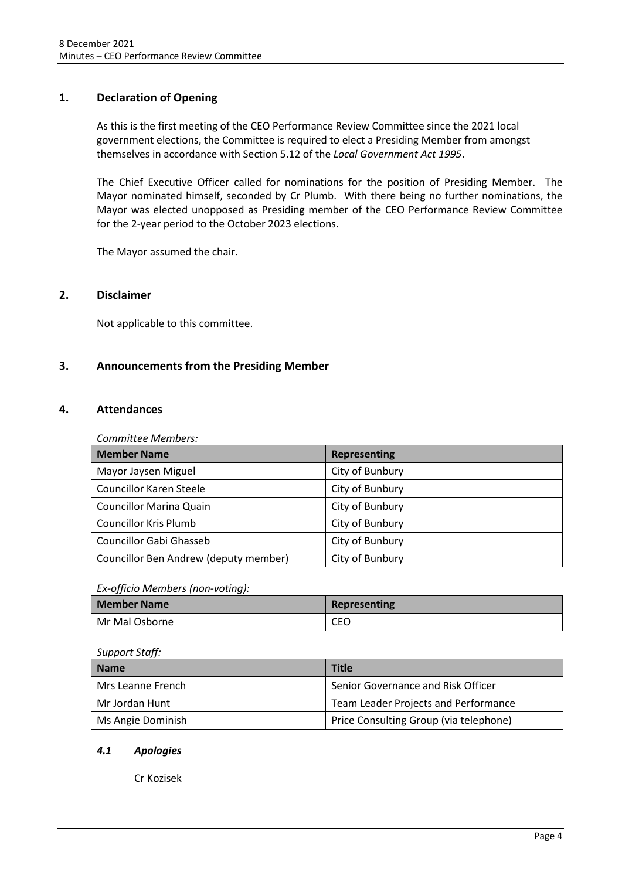## <span id="page-3-0"></span>**1. Declaration of Opening**

As this is the first meeting of the CEO Performance Review Committee since the 2021 local government elections, the Committee is required to elect a Presiding Member from amongst themselves in accordance with Section 5.12 of the *Local Government Act 1995*.

The Chief Executive Officer called for nominations for the position of Presiding Member. The Mayor nominated himself, seconded by Cr Plumb. With there being no further nominations, the Mayor was elected unopposed as Presiding member of the CEO Performance Review Committee for the 2-year period to the October 2023 elections.

The Mayor assumed the chair.

## <span id="page-3-1"></span>**2. Disclaimer**

Not applicable to this committee.

## <span id="page-3-2"></span>**3. Announcements from the Presiding Member**

## <span id="page-3-3"></span>**4. Attendances**

*Committee Members:*

| <b>Member Name</b>                    | Representing    |
|---------------------------------------|-----------------|
| Mayor Jaysen Miguel                   | City of Bunbury |
| Councillor Karen Steele               | City of Bunbury |
| <b>Councillor Marina Quain</b>        | City of Bunbury |
| <b>Councillor Kris Plumb</b>          | City of Bunbury |
| <b>Councillor Gabi Ghasseb</b>        | City of Bunbury |
| Councillor Ben Andrew (deputy member) | City of Bunbury |

## *Ex-officio Members (non-voting):*

| <b>Member Name</b> | Representing |
|--------------------|--------------|
| Mr Mal Osborne     | CEO          |

| Support Staff:    |                                        |  |
|-------------------|----------------------------------------|--|
| <b>Name</b>       | <b>Title</b>                           |  |
| Mrs Leanne French | Senior Governance and Risk Officer     |  |
| Mr Jordan Hunt    | Team Leader Projects and Performance   |  |
| Ms Angie Dominish | Price Consulting Group (via telephone) |  |

## <span id="page-3-4"></span>*4.1 Apologies*

Cr Kozisek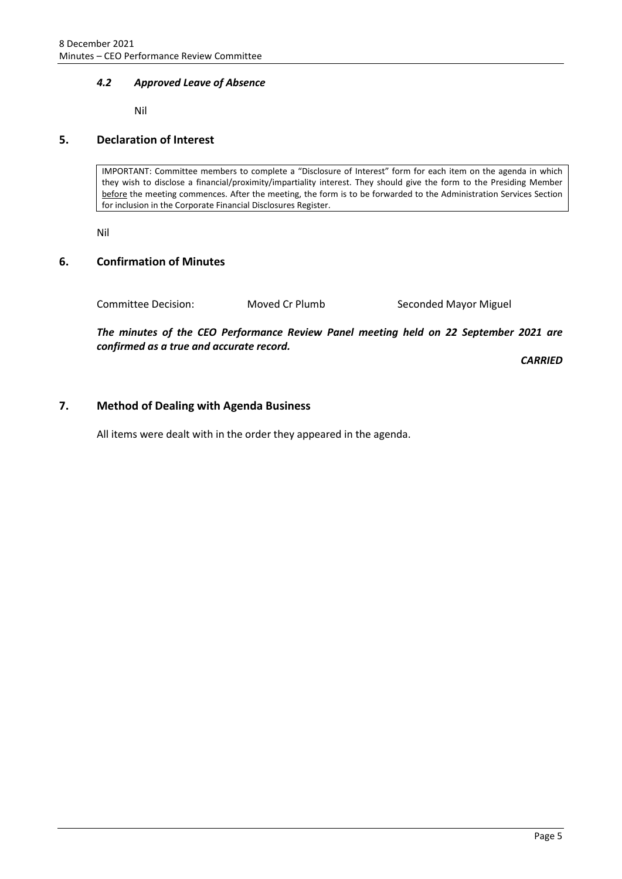## <span id="page-4-0"></span>*4.2 Approved Leave of Absence*

Nil

## <span id="page-4-1"></span>**5. Declaration of Interest**

IMPORTANT: Committee members to complete a "Disclosure of Interest" form for each item on the agenda in which they wish to disclose a financial/proximity/impartiality interest. They should give the form to the Presiding Member before the meeting commences. After the meeting, the form is to be forwarded to the Administration Services Section for inclusion in the Corporate Financial Disclosures Register.

Nil

## <span id="page-4-2"></span>**6. Confirmation of Minutes**

Committee Decision: Moved Cr Plumb Seconded Mayor Miguel

*The minutes of the CEO Performance Review Panel meeting held on 22 September 2021 are confirmed as a true and accurate record.*

*CARRIED*

## <span id="page-4-3"></span>**7. Method of Dealing with Agenda Business**

All items were dealt with in the order they appeared in the agenda.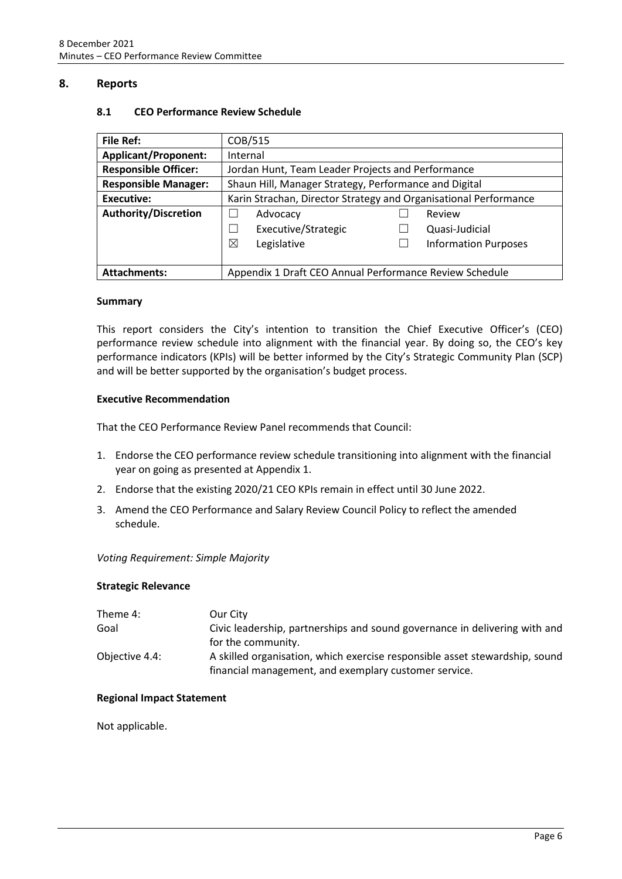## <span id="page-5-1"></span><span id="page-5-0"></span>**8. Reports**

| <b>File Ref:</b>                                                               | COB/515                                                          |                             |  |
|--------------------------------------------------------------------------------|------------------------------------------------------------------|-----------------------------|--|
| <b>Applicant/Proponent:</b>                                                    | Internal                                                         |                             |  |
| <b>Responsible Officer:</b>                                                    | Jordan Hunt, Team Leader Projects and Performance                |                             |  |
| <b>Responsible Manager:</b>                                                    | Shaun Hill, Manager Strategy, Performance and Digital            |                             |  |
| Executive:                                                                     | Karin Strachan, Director Strategy and Organisational Performance |                             |  |
| <b>Authority/Discretion</b>                                                    | Advocacy                                                         | Review                      |  |
|                                                                                | Executive/Strategic                                              | Quasi-Judicial              |  |
|                                                                                | ⊠<br>Legislative                                                 | <b>Information Purposes</b> |  |
|                                                                                |                                                                  |                             |  |
| Appendix 1 Draft CEO Annual Performance Review Schedule<br><b>Attachments:</b> |                                                                  |                             |  |

## **8.1 CEO Performance Review Schedule**

#### **Summary**

This report considers the City's intention to transition the Chief Executive Officer's (CEO) performance review schedule into alignment with the financial year. By doing so, the CEO's key performance indicators (KPIs) will be better informed by the City's Strategic Community Plan (SCP) and will be better supported by the organisation's budget process.

## **Executive Recommendation**

That the CEO Performance Review Panel recommends that Council:

- 1. Endorse the CEO performance review schedule transitioning into alignment with the financial year on going as presented at Appendix 1.
- 2. Endorse that the existing 2020/21 CEO KPIs remain in effect until 30 June 2022.
- 3. Amend the CEO Performance and Salary Review Council Policy to reflect the amended schedule.

#### *Voting Requirement: Simple Majority*

#### **Strategic Relevance**

| Theme 4:       | Our City                                                                    |
|----------------|-----------------------------------------------------------------------------|
| Goal           | Civic leadership, partnerships and sound governance in delivering with and  |
|                | for the community.                                                          |
| Objective 4.4: | A skilled organisation, which exercise responsible asset stewardship, sound |
|                | financial management, and exemplary customer service.                       |

#### **Regional Impact Statement**

Not applicable.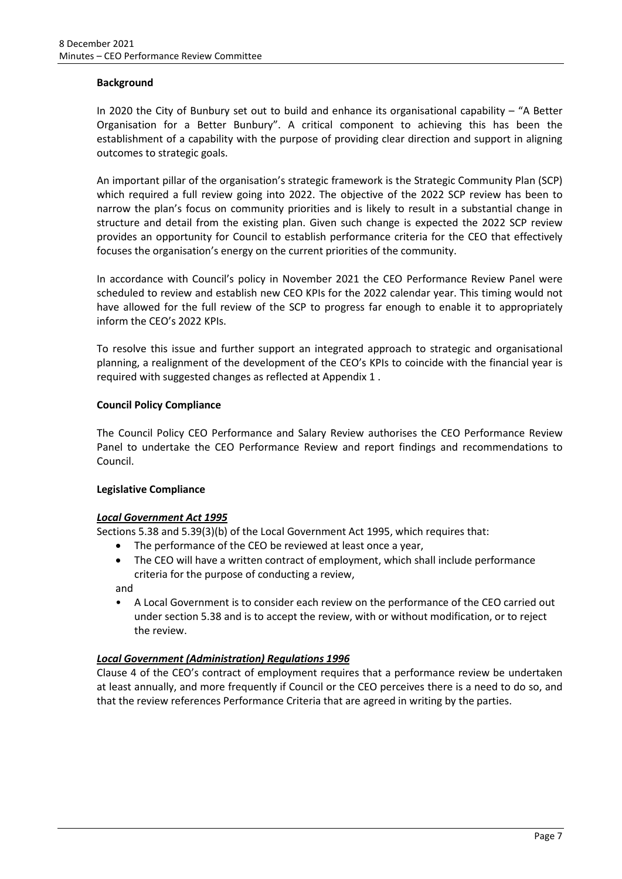## **Background**

In 2020 the City of Bunbury set out to build and enhance its organisational capability – "A Better Organisation for a Better Bunbury". A critical component to achieving this has been the establishment of a capability with the purpose of providing clear direction and support in aligning outcomes to strategic goals.

An important pillar of the organisation's strategic framework is the Strategic Community Plan (SCP) which required a full review going into 2022. The objective of the 2022 SCP review has been to narrow the plan's focus on community priorities and is likely to result in a substantial change in structure and detail from the existing plan. Given such change is expected the 2022 SCP review provides an opportunity for Council to establish performance criteria for the CEO that effectively focuses the organisation's energy on the current priorities of the community.

In accordance with Council's policy in November 2021 the CEO Performance Review Panel were scheduled to review and establish new CEO KPIs for the 2022 calendar year. This timing would not have allowed for the full review of the SCP to progress far enough to enable it to appropriately inform the CEO's 2022 KPIs.

To resolve this issue and further support an integrated approach to strategic and organisational planning, a realignment of the development of the CEO's KPIs to coincide with the financial year is required with suggested changes as reflected at Appendix 1 .

## **Council Policy Compliance**

The Council Policy CEO Performance and Salary Review authorises the CEO Performance Review Panel to undertake the CEO Performance Review and report findings and recommendations to Council.

## **Legislative Compliance**

## *Local Government Act 1995*

Sections 5.38 and 5.39(3)(b) of the Local Government Act 1995, which requires that:

- The performance of the CEO be reviewed at least once a year,
- The CEO will have a written contract of employment, which shall include performance criteria for the purpose of conducting a review,

and

• A Local Government is to consider each review on the performance of the CEO carried out under section 5.38 and is to accept the review, with or without modification, or to reject the review.

## *Local Government (Administration) Regulations 1996*

Clause 4 of the CEO's contract of employment requires that a performance review be undertaken at least annually, and more frequently if Council or the CEO perceives there is a need to do so, and that the review references Performance Criteria that are agreed in writing by the parties.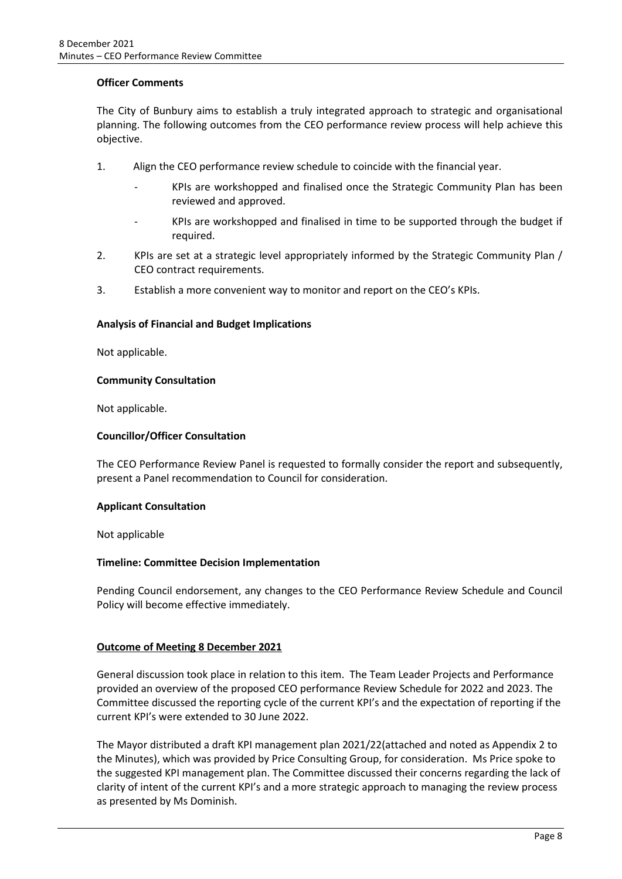## **Officer Comments**

The City of Bunbury aims to establish a truly integrated approach to strategic and organisational planning. The following outcomes from the CEO performance review process will help achieve this objective.

- 1. Align the CEO performance review schedule to coincide with the financial year.
	- KPIs are workshopped and finalised once the Strategic Community Plan has been reviewed and approved.
	- KPIs are workshopped and finalised in time to be supported through the budget if required.
- 2. KPIs are set at a strategic level appropriately informed by the Strategic Community Plan / CEO contract requirements.
- 3. Establish a more convenient way to monitor and report on the CEO's KPIs.

## **Analysis of Financial and Budget Implications**

Not applicable.

## **Community Consultation**

Not applicable.

## **Councillor/Officer Consultation**

The CEO Performance Review Panel is requested to formally consider the report and subsequently, present a Panel recommendation to Council for consideration.

## **Applicant Consultation**

Not applicable

## **Timeline: Committee Decision Implementation**

Pending Council endorsement, any changes to the CEO Performance Review Schedule and Council Policy will become effective immediately.

## **Outcome of Meeting 8 December 2021**

General discussion took place in relation to this item. The Team Leader Projects and Performance provided an overview of the proposed CEO performance Review Schedule for 2022 and 2023. The Committee discussed the reporting cycle of the current KPI's and the expectation of reporting if the current KPI's were extended to 30 June 2022.

The Mayor distributed a draft KPI management plan 2021/22(attached and noted as Appendix 2 to the Minutes), which was provided by Price Consulting Group, for consideration. Ms Price spoke to the suggested KPI management plan. The Committee discussed their concerns regarding the lack of clarity of intent of the current KPI's and a more strategic approach to managing the review process as presented by Ms Dominish.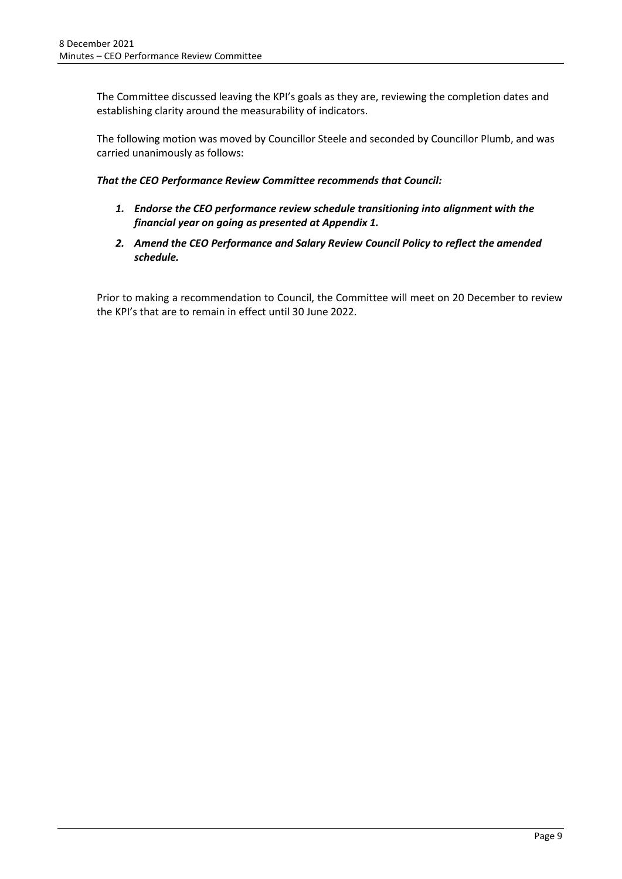The Committee discussed leaving the KPI's goals as they are, reviewing the completion dates and establishing clarity around the measurability of indicators.

The following motion was moved by Councillor Steele and seconded by Councillor Plumb, and was carried unanimously as follows:

*That the CEO Performance Review Committee recommends that Council:*

- *1. Endorse the CEO performance review schedule transitioning into alignment with the financial year on going as presented at Appendix 1.*
- *2. Amend the CEO Performance and Salary Review Council Policy to reflect the amended schedule.*

Prior to making a recommendation to Council, the Committee will meet on 20 December to review the KPI's that are to remain in effect until 30 June 2022.